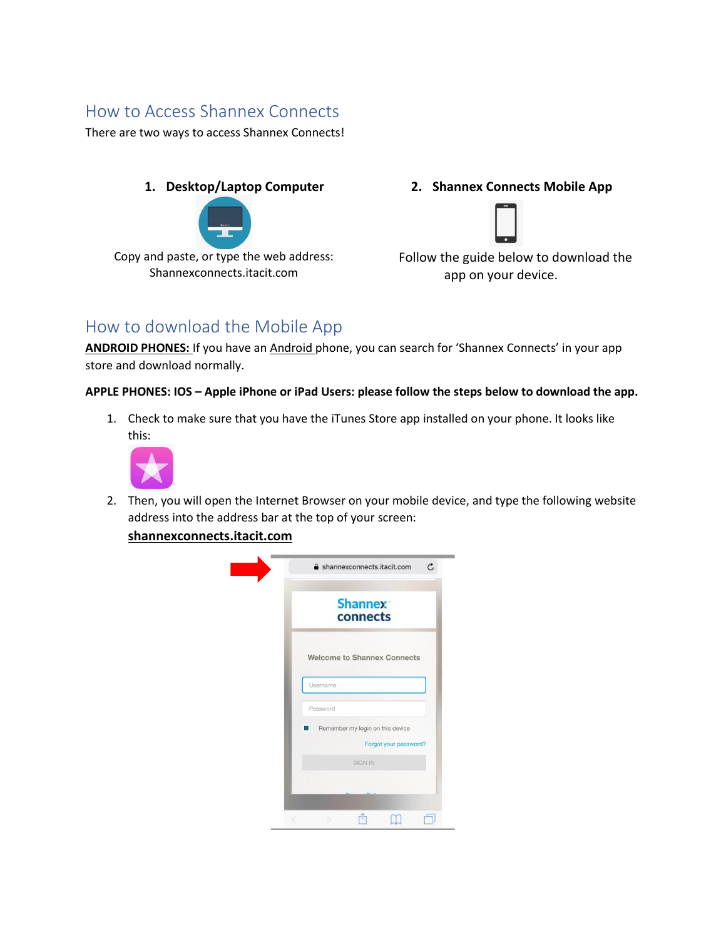## How to Access Shannex Connects

There are two ways to access Shannex Connects!



Copy and paste, or type the web address: Shannexconnects.itacit.com

**1. Desktop/Laptop Computer 2. Shannex Connects Mobile App**



Follow the guide below to download the app on your device.

## How to download the Mobile App

ANDROID PHONES: If you have an Android phone, you can search for 'Shannex Connects' in your app store and download normally.

## **APPLE PHONES: IOS – Apple iPhone or iPad Users: please follow the steps below to download the app.**

1. Check to make sure that you have the iTunes Store app installed on your phone. It looks like this:



2. Then, you will open the Internet Browser on your mobile device, and type the following website address into the address bar at the top of your screen:

**shannexconnects.itacit.com**

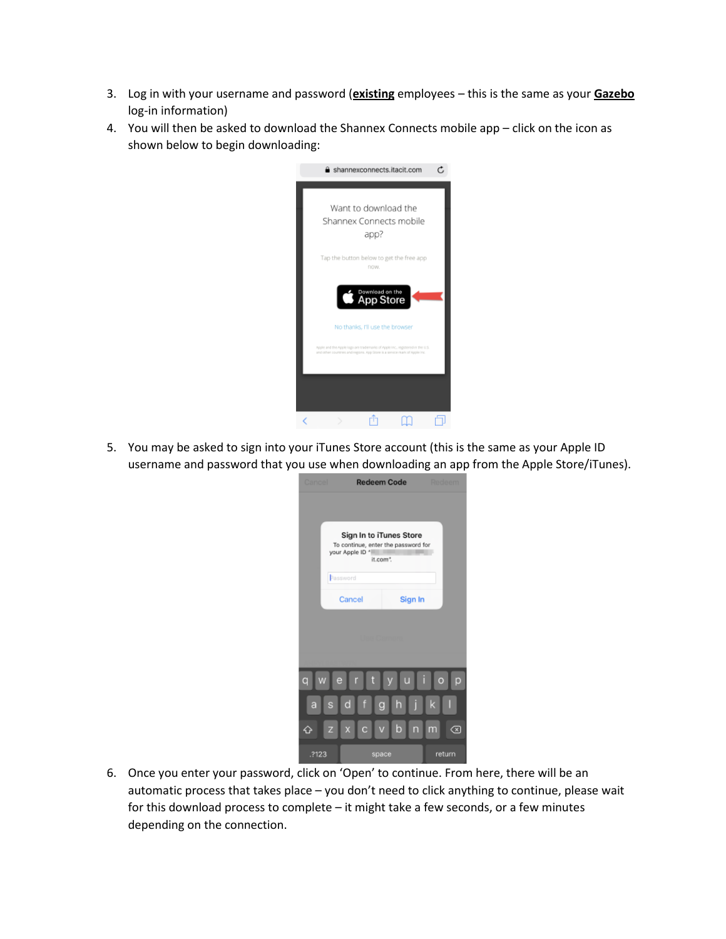- 3. Log in with your username and password (**existing** employees this is the same as your **Gazebo** log-in information)
- 4. You will then be asked to download the Shannex Connects mobile app click on the icon as shown below to begin downloading:

| shannexconnects.itacit.com                                                                                                                                  |  |
|-------------------------------------------------------------------------------------------------------------------------------------------------------------|--|
| Want to download the<br>Shannex Connects mobile<br>app?                                                                                                     |  |
| Tap the button below to get the free app<br>now.                                                                                                            |  |
| Download on the<br><b>App Store</b>                                                                                                                         |  |
| No thanks. I'll use the browser                                                                                                                             |  |
| Apple and the Apple logo are trademarks of Apple Inc., registered in the U.S.<br>and other countries and regions. App Store is a service mark of Apple Inc. |  |
|                                                                                                                                                             |  |
|                                                                                                                                                             |  |

5. You may be asked to sign into your iTunes Store account (this is the same as your Apple ID username and password that you use when downloading an app from the Apple Store/iTunes).

| Cancel                                                                                        |          | <b>Redeem Code</b> | Redeem       |  |  |
|-----------------------------------------------------------------------------------------------|----------|--------------------|--------------|--|--|
|                                                                                               |          |                    |              |  |  |
| Sign In to iTunes Store<br>To continue, enter the password for<br>your Apple ID *<br>it.com". |          |                    |              |  |  |
|                                                                                               | Password |                    |              |  |  |
|                                                                                               | Sign In  |                    |              |  |  |
| <b>Use Camera</b>                                                                             |          |                    |              |  |  |
| t<br>W<br>e<br>r<br>ū<br>q<br>$\overline{O}$<br>D                                             |          |                    |              |  |  |
| s<br>a                                                                                        | d<br>f   | h<br>g             | k            |  |  |
| $\overline{z}$                                                                                | C<br>X   | b                  | 'n<br>∞<br>m |  |  |
| .?123                                                                                         |          | space              | return       |  |  |

6. Once you enter your password, click on 'Open' to continue. From here, there will be an automatic process that takes place – you don't need to click anything to continue, please wait for this download process to complete – it might take a few seconds, or a few minutes depending on the connection.